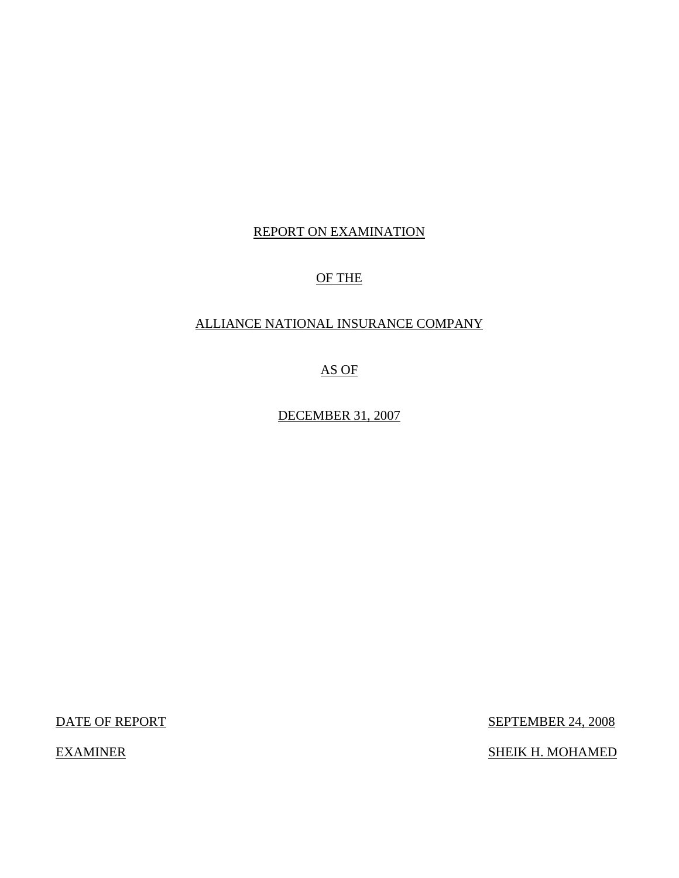# REPORT ON EXAMINATION

# OF THE

## ALLIANCE NATIONAL INSURANCE COMPANY

AS OF

DECEMBER 31, 2007

DATE OF REPORT SEPTEMBER 24, 2008

EXAMINER SHEIK H. MOHAMED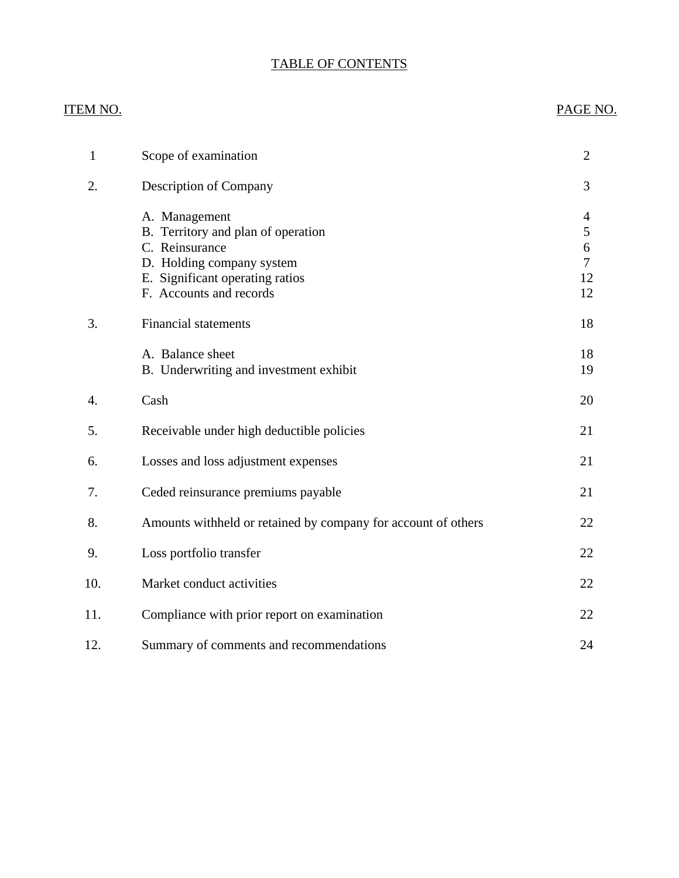# TABLE OF CONTENTS

# ITEM NO. PAGE NO.

| $\mathbf{1}$ | Scope of examination                                                                                                                                             | $\overline{2}$                                                   |
|--------------|------------------------------------------------------------------------------------------------------------------------------------------------------------------|------------------------------------------------------------------|
| 2.           | Description of Company                                                                                                                                           | 3                                                                |
|              | A. Management<br>B. Territory and plan of operation<br>C. Reinsurance<br>D. Holding company system<br>E. Significant operating ratios<br>F. Accounts and records | $\overline{4}$<br>5<br>6<br>$\overline{\mathcal{L}}$<br>12<br>12 |
| 3.           | <b>Financial statements</b>                                                                                                                                      | 18                                                               |
|              | A. Balance sheet<br>B. Underwriting and investment exhibit                                                                                                       | 18<br>19                                                         |
| 4.           | Cash                                                                                                                                                             | 20                                                               |
| 5.           | Receivable under high deductible policies                                                                                                                        | 21                                                               |
| 6.           | Losses and loss adjustment expenses                                                                                                                              | 21                                                               |
| 7.           | Ceded reinsurance premiums payable                                                                                                                               | 21                                                               |
| 8.           | Amounts withheld or retained by company for account of others                                                                                                    | 22                                                               |
| 9.           | Loss portfolio transfer                                                                                                                                          | 22                                                               |
| 10.          | Market conduct activities                                                                                                                                        | 22                                                               |
| 11.          | Compliance with prior report on examination                                                                                                                      | 22                                                               |
| 12.          | Summary of comments and recommendations                                                                                                                          | 24                                                               |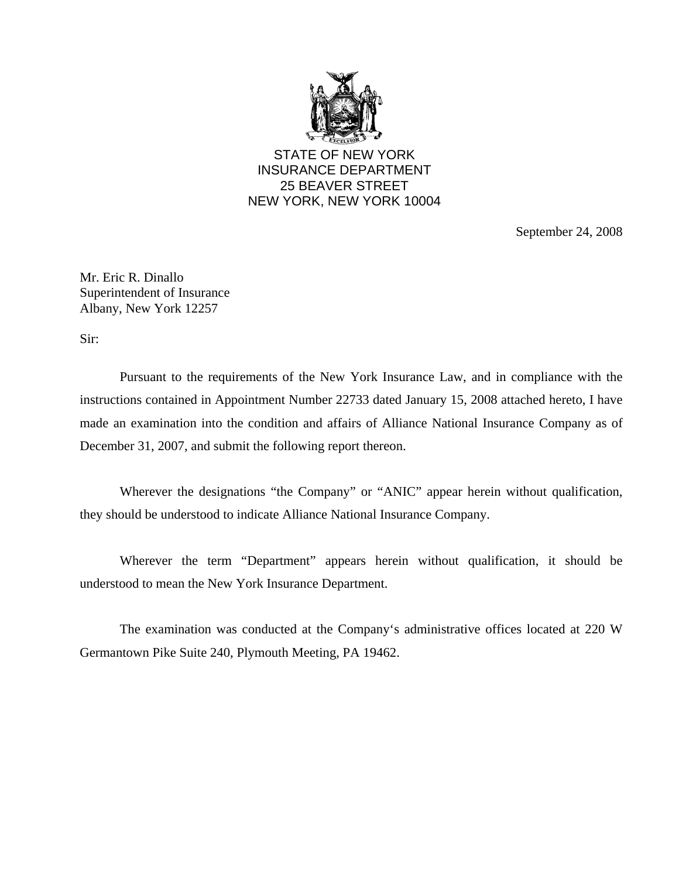

STATE OF NEW YORK INSURANCE DEPARTMENT 25 BEAVER STREET NEW YORK, NEW YORK 10004

September 24, 2008

Mr. Eric R. Dinallo Superintendent of Insurance Albany, New York 12257

Sir:

Pursuant to the requirements of the New York Insurance Law, and in compliance with the instructions contained in Appointment Number 22733 dated January 15, 2008 attached hereto, I have made an examination into the condition and affairs of Alliance National Insurance Company as of December 31, 2007, and submit the following report thereon.

Wherever the designations "the Company" or "ANIC" appear herein without qualification, they should be understood to indicate Alliance National Insurance Company.

Wherever the term "Department" appears herein without qualification, it should be understood to mean the New York Insurance Department.

The examination was conducted at the Company's administrative offices located at 220 W Germantown Pike Suite 240, Plymouth Meeting, PA 19462.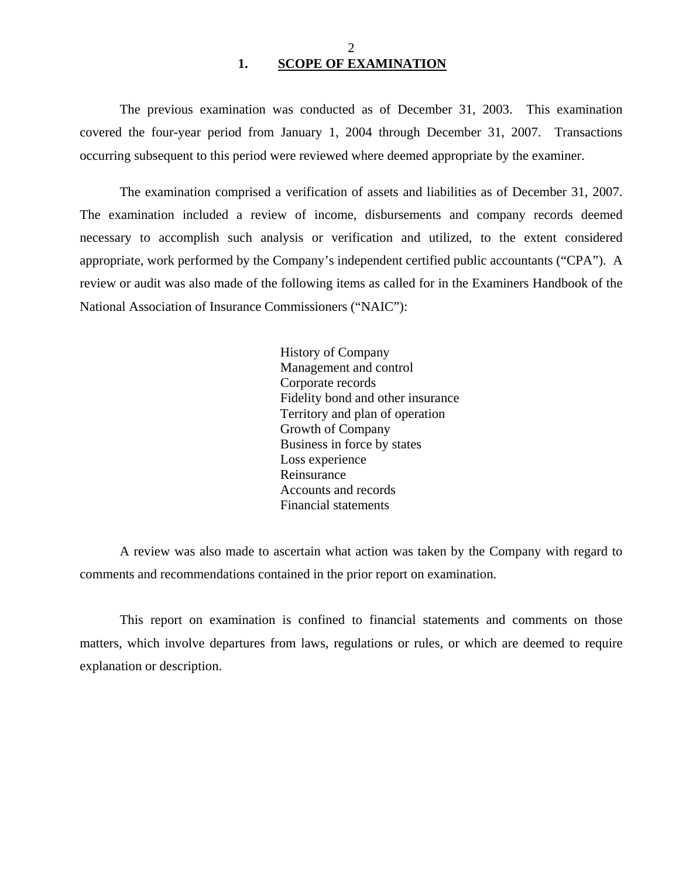<span id="page-3-0"></span>The previous examination was conducted as of December 31, 2003. This examination covered the four-year period from January 1, 2004 through December 31, 2007. Transactions occurring subsequent to this period were reviewed where deemed appropriate by the examiner.

The examination comprised a verification of assets and liabilities as of December 31, 2007. The examination included a review of income, disbursements and company records deemed necessary to accomplish such analysis or verification and utilized, to the extent considered appropriate, work performed by the Company's independent certified public accountants ("CPA"). A review or audit was also made of the following items as called for in the Examiners Handbook of the National Association of Insurance Commissioners ("NAIC"):

> History of Company Management and control Corporate records Fidelity bond and other insurance Territory and plan of operation Growth of Company Business in force by states Loss experience Reinsurance Accounts and records Financial statements

A review was also made to ascertain what action was taken by the Company with regard to comments and recommendations contained in the prior report on examination.

This report on examination is confined to financial statements and comments on those matters, which involve departures from laws, regulations or rules, or which are deemed to require explanation or description.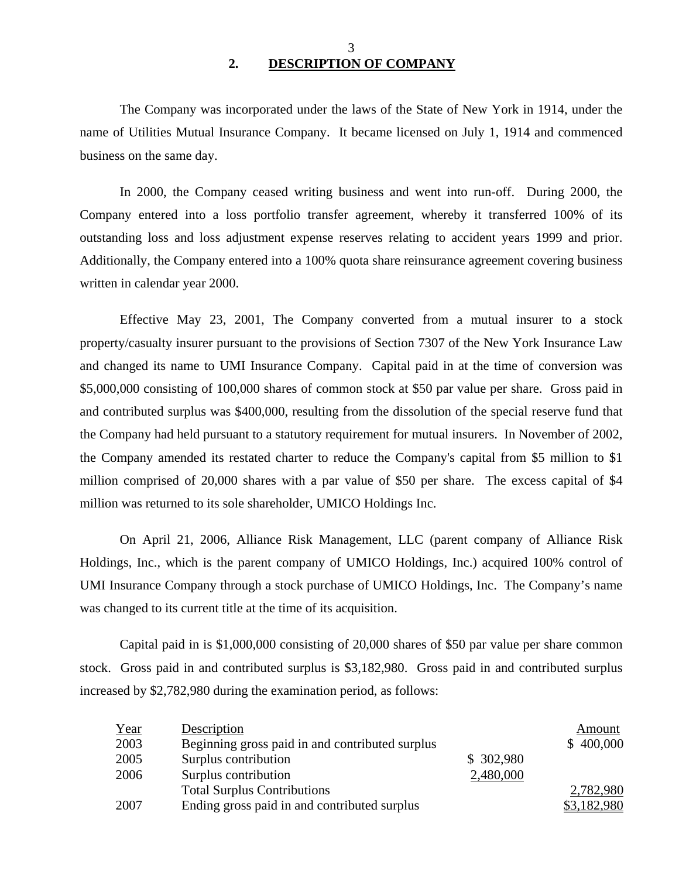The Company was incorporated under the laws of the State of New York in 1914, under the name of Utilities Mutual Insurance Company. It became licensed on July 1, 1914 and commenced business on the same day.

In 2000, the Company ceased writing business and went into run-off. During 2000, the Company entered into a loss portfolio transfer agreement, whereby it transferred 100% of its outstanding loss and loss adjustment expense reserves relating to accident years 1999 and prior. Additionally, the Company entered into a 100% quota share reinsurance agreement covering business written in calendar year 2000.

Effective May 23, 2001, The Company converted from a mutual insurer to a stock property/casualty insurer pursuant to the provisions of Section 7307 of the New York Insurance Law and changed its name to UMI Insurance Company. Capital paid in at the time of conversion was \$5,000,000 consisting of 100,000 shares of common stock at \$50 par value per share. Gross paid in and contributed surplus was \$400,000, resulting from the dissolution of the special reserve fund that the Company had held pursuant to a statutory requirement for mutual insurers. In November of 2002, the Company amended its restated charter to reduce the Company's capital from \$5 million to \$1 million comprised of 20,000 shares with a par value of \$50 per share. The excess capital of \$4 million was returned to its sole shareholder, UMICO Holdings Inc.

On April 21, 2006, Alliance Risk Management, LLC (parent company of Alliance Risk Holdings, Inc., which is the parent company of UMICO Holdings, Inc.) acquired 100% control of UMI Insurance Company through a stock purchase of UMICO Holdings, Inc. The Company's name was changed to its current title at the time of its acquisition.

Capital paid in is \$1,000,000 consisting of 20,000 shares of \$50 par value per share common stock. Gross paid in and contributed surplus is \$3,182,980. Gross paid in and contributed surplus increased by \$2,782,980 during the examination period, as follows:

| <u>Year</u> | Description                                     |            | Amount      |
|-------------|-------------------------------------------------|------------|-------------|
| 2003        | Beginning gross paid in and contributed surplus |            | \$400,000   |
| 2005        | Surplus contribution                            | \$ 302,980 |             |
| 2006        | Surplus contribution                            | 2,480,000  |             |
|             | <b>Total Surplus Contributions</b>              |            | 2,782,980   |
| 2007        | Ending gross paid in and contributed surplus    |            | \$3,182,980 |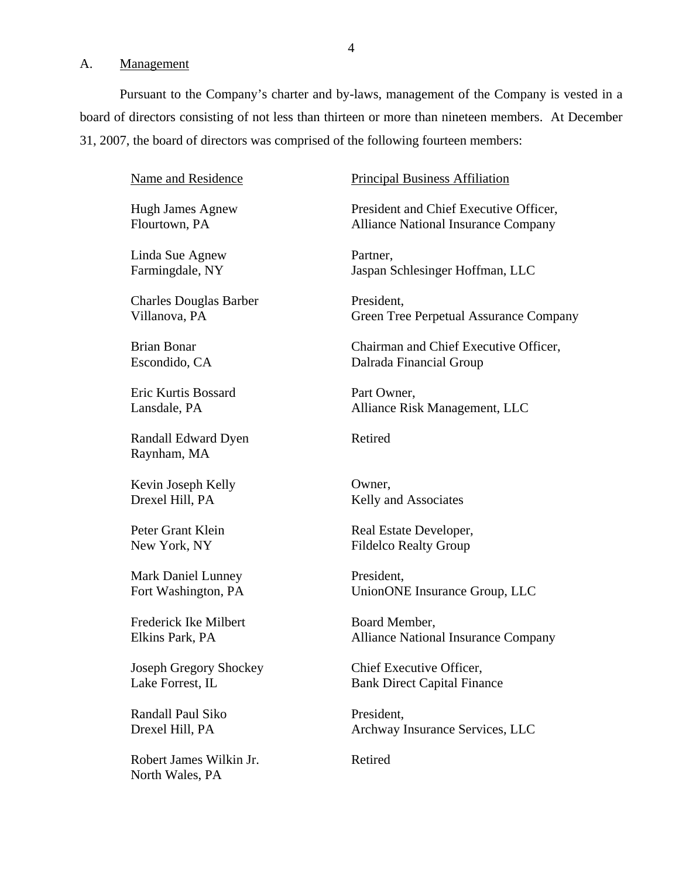#### <span id="page-5-0"></span>A. Management

Pursuant to the Company's charter and by-laws, management of the Company is vested in a board of directors consisting of not less than thirteen or more than nineteen members. At December 31, 2007, the board of directors was comprised of the following fourteen members:

Name and Residence

Hugh James Agnew Flourtown, PA

Linda Sue Agnew Farmingdale, NY

Charles Douglas Barber Villanova, PA

Brian Bonar Escondido, CA

Eric Kurtis Bossard Lansdale, PA

Randall Edward Dyen Raynham, MA

Kevin Joseph Kelly Drexel Hill, PA

Peter Grant Klein New York, NY

Mark Daniel Lunney Fort Washington, PA

Frederick Ike Milbert Elkins Park, PA

Joseph Gregory Shockey Lake Forrest, IL

Randall Paul Siko Drexel Hill, PA

Robert James Wilkin Jr. North Wales, PA

#### Principal Business Affiliation

President and Chief Executive Officer, Alliance National Insurance Company

Partner, Jaspan Schlesinger Hoffman, LLC

President, Green Tree Perpetual Assurance Company

Chairman and Chief Executive Officer, Dalrada Financial Group

Part Owner, Alliance Risk Management, LLC

Retired

Owner, Kelly and Associates

Real Estate Developer, Fildelco Realty Group

President, UnionONE Insurance Group, LLC

Board Member, Alliance National Insurance Company

Chief Executive Officer, Bank Direct Capital Finance

President, Archway Insurance Services, LLC

Retired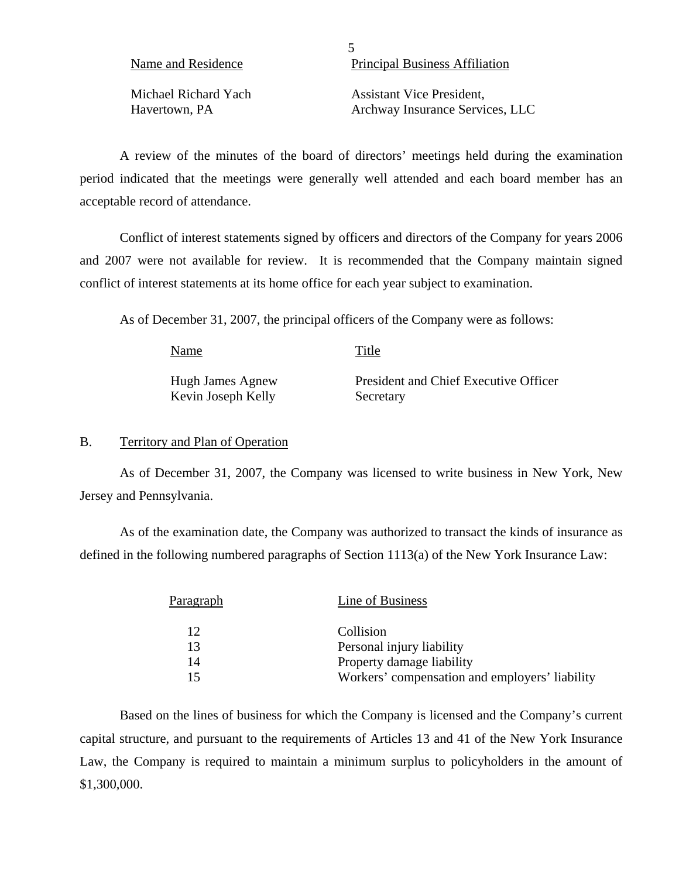5 Principal Business Affiliation

Michael Richard Yach Assistant Vice President, Havertown, PA Archway Insurance Services, LLC

A review of the minutes of the board of directors' meetings held during the examination period indicated that the meetings were generally well attended and each board member has an acceptable record of attendance.

Conflict of interest statements signed by officers and directors of the Company for years 2006 and 2007 were not available for review. It is recommended that the Company maintain signed conflict of interest statements at its home office for each year subject to examination.

As of December 31, 2007, the principal officers of the Company were as follows:

Name Title Hugh James Agnew Kevin Joseph Kelly President and Chief Executive Officer Secretary

#### B. Territory and Plan of Operation

As of December 31, 2007, the Company was licensed to write business in New York, New Jersey and Pennsylvania.

As of the examination date, the Company was authorized to transact the kinds of insurance as defined in the following numbered paragraphs of Section 1113(a) of the New York Insurance Law:

| Paragraph | Line of Business                               |
|-----------|------------------------------------------------|
| 12.       | Collision                                      |
| 13        | Personal injury liability                      |
| 14        | Property damage liability                      |
| 15        | Workers' compensation and employers' liability |

Based on the lines of business for which the Company is licensed and the Company's current capital structure, and pursuant to the requirements of Articles 13 and 41 of the New York Insurance Law, the Company is required to maintain a minimum surplus to policyholders in the amount of \$1,300,000.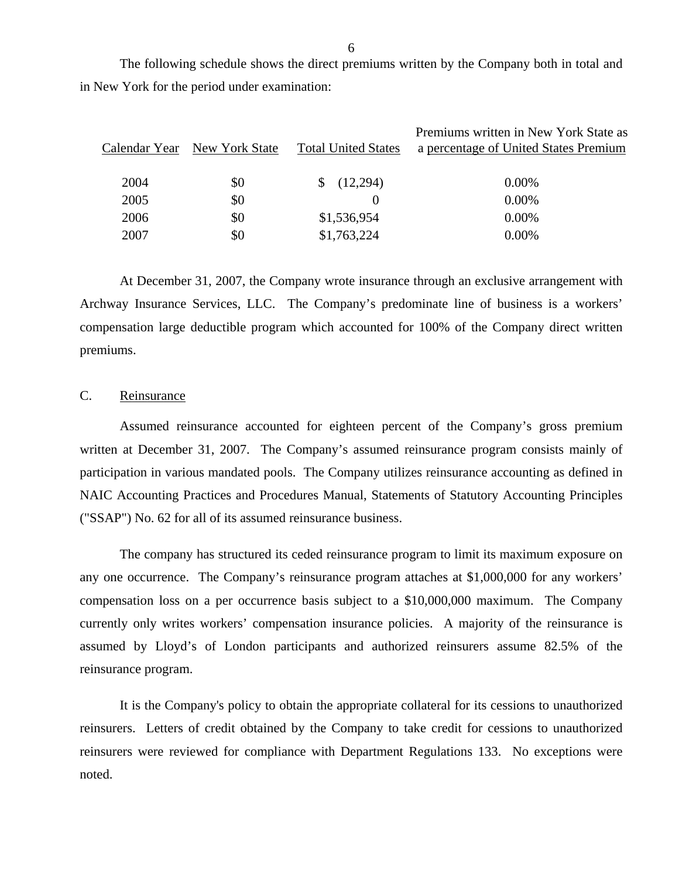The following schedule shows the direct premiums written by the Company both in total and in New York for the period under examination:

| Calendar Year New York State | <b>Total United States</b> | Premiums written in New York State as<br>a percentage of United States Premium |
|------------------------------|----------------------------|--------------------------------------------------------------------------------|
| \$0                          | (12,294)<br>S.             | $0.00\%$                                                                       |
| \$0                          |                            | $0.00\%$                                                                       |
| \$0                          | \$1,536,954                | $0.00\%$                                                                       |
| \$0                          | \$1,763,224                | $0.00\%$                                                                       |
|                              |                            |                                                                                |

At December 31, 2007, the Company wrote insurance through an exclusive arrangement with Archway Insurance Services, LLC. The Company's predominate line of business is a workers' compensation large deductible program which accounted for 100% of the Company direct written premiums.

#### C. Reinsurance

Assumed reinsurance accounted for eighteen percent of the Company's gross premium written at December 31, 2007. The Company's assumed reinsurance program consists mainly of participation in various mandated pools. The Company utilizes reinsurance accounting as defined in NAIC Accounting Practices and Procedures Manual, Statements of Statutory Accounting Principles ("SSAP") No. 62 for all of its assumed reinsurance business.

The company has structured its ceded reinsurance program to limit its maximum exposure on any one occurrence. The Company's reinsurance program attaches at \$1,000,000 for any workers' compensation loss on a per occurrence basis subject to a \$10,000,000 maximum. The Company currently only writes workers' compensation insurance policies. A majority of the reinsurance is assumed by Lloyd's of London participants and authorized reinsurers assume 82.5% of the reinsurance program.

It is the Company's policy to obtain the appropriate collateral for its cessions to unauthorized reinsurers. Letters of credit obtained by the Company to take credit for cessions to unauthorized reinsurers were reviewed for compliance with Department Regulations 133. No exceptions were noted.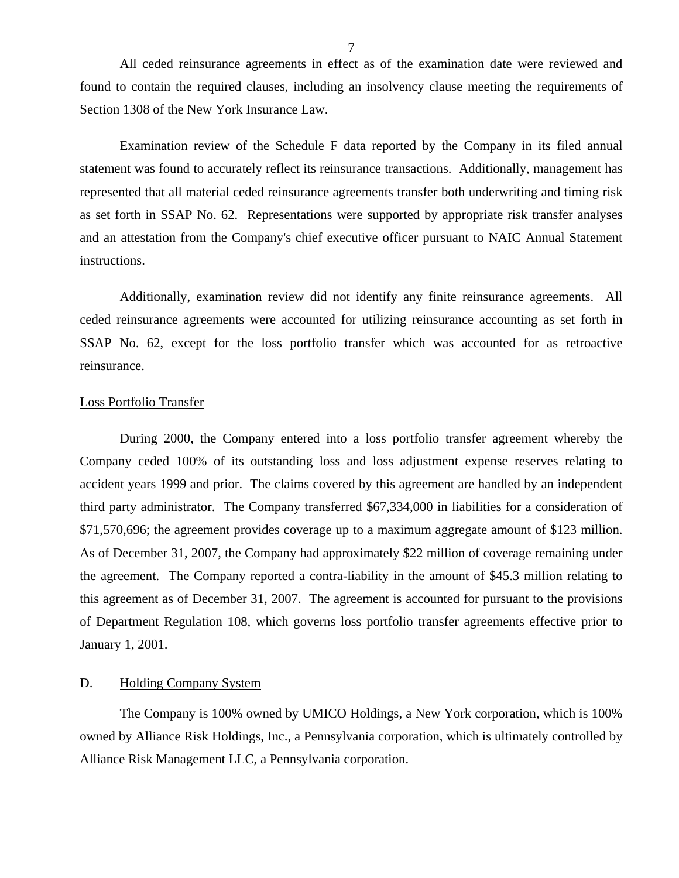<span id="page-8-0"></span>All ceded reinsurance agreements in effect as of the examination date were reviewed and found to contain the required clauses, including an insolvency clause meeting the requirements of Section 1308 of the New York Insurance Law.

Examination review of the Schedule F data reported by the Company in its filed annual statement was found to accurately reflect its reinsurance transactions. Additionally, management has represented that all material ceded reinsurance agreements transfer both underwriting and timing risk as set forth in SSAP No. 62. Representations were supported by appropriate risk transfer analyses and an attestation from the Company's chief executive officer pursuant to NAIC Annual Statement instructions.

Additionally, examination review did not identify any finite reinsurance agreements. All ceded reinsurance agreements were accounted for utilizing reinsurance accounting as set forth in SSAP No. 62, except for the loss portfolio transfer which was accounted for as retroactive reinsurance.

#### Loss Portfolio Transfer

During 2000, the Company entered into a loss portfolio transfer agreement whereby the Company ceded 100% of its outstanding loss and loss adjustment expense reserves relating to accident years 1999 and prior. The claims covered by this agreement are handled by an independent third party administrator. The Company transferred \$67,334,000 in liabilities for a consideration of \$71,570,696; the agreement provides coverage up to a maximum aggregate amount of \$123 million. As of December 31, 2007, the Company had approximately \$22 million of coverage remaining under the agreement. The Company reported a contra-liability in the amount of \$45.3 million relating to this agreement as of December 31, 2007. The agreement is accounted for pursuant to the provisions of Department Regulation 108, which governs loss portfolio transfer agreements effective prior to January 1, 2001.

#### D. Holding Company System

The Company is 100% owned by UMICO Holdings, a New York corporation, which is 100% owned by Alliance Risk Holdings, Inc., a Pennsylvania corporation, which is ultimately controlled by Alliance Risk Management LLC, a Pennsylvania corporation.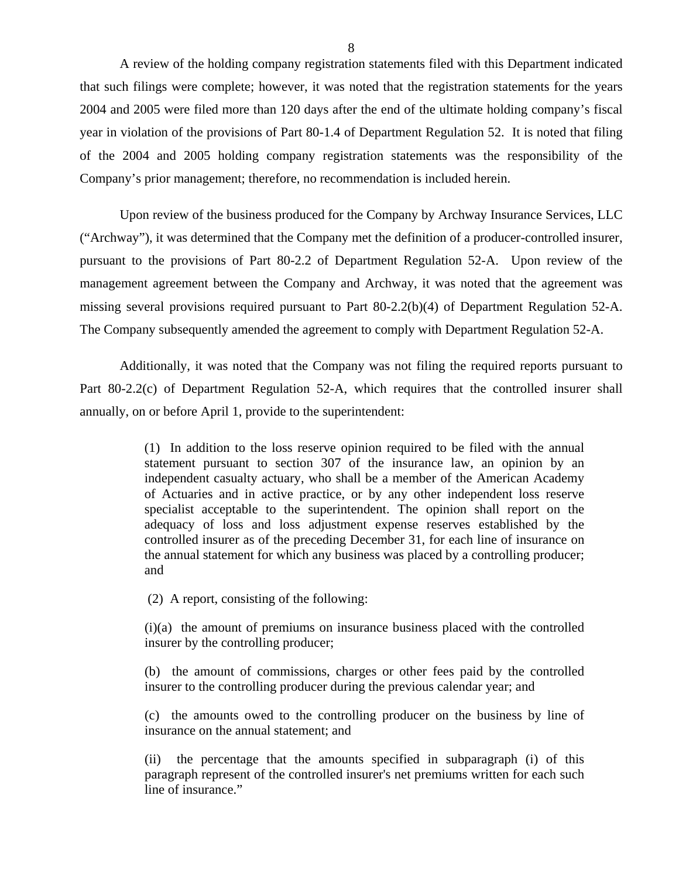A review of the holding company registration statements filed with this Department indicated that such filings were complete; however, it was noted that the registration statements for the years 2004 and 2005 were filed more than 120 days after the end of the ultimate holding company's fiscal year in violation of the provisions of Part 80-1.4 of Department Regulation 52. It is noted that filing of the 2004 and 2005 holding company registration statements was the responsibility of the Company's prior management; therefore, no recommendation is included herein.

Upon review of the business produced for the Company by Archway Insurance Services, LLC ("Archway"), it was determined that the Company met the definition of a producer-controlled insurer, pursuant to the provisions of Part 80-2.2 of Department Regulation 52-A. Upon review of the management agreement between the Company and Archway, it was noted that the agreement was missing several provisions required pursuant to Part 80-2.2(b)(4) of Department Regulation 52-A. The Company subsequently amended the agreement to comply with Department Regulation 52-A.

Additionally, it was noted that the Company was not filing the required reports pursuant to Part 80-2.2(c) of Department Regulation 52-A, which requires that the controlled insurer shall annually, on or before April 1, provide to the superintendent:

> (1) In addition to the loss reserve opinion required to be filed with the annual statement pursuant to section 307 of the insurance law, an opinion by an independent casualty actuary, who shall be a member of the American Academy of Actuaries and in active practice, or by any other independent loss reserve specialist acceptable to the superintendent. The opinion shall report on the adequacy of loss and loss adjustment expense reserves established by the controlled insurer as of the preceding December 31, for each line of insurance on the annual statement for which any business was placed by a controlling producer; and

(2) A report, consisting of the following:

(i)(a) the amount of premiums on insurance business placed with the controlled insurer by the controlling producer;

(b) the amount of commissions, charges or other fees paid by the controlled insurer to the controlling producer during the previous calendar year; and

(c) the amounts owed to the controlling producer on the business by line of insurance on the annual statement; and

(ii) the percentage that the amounts specified in subparagraph (i) of this paragraph represent of the controlled insurer's net premiums written for each such line of insurance."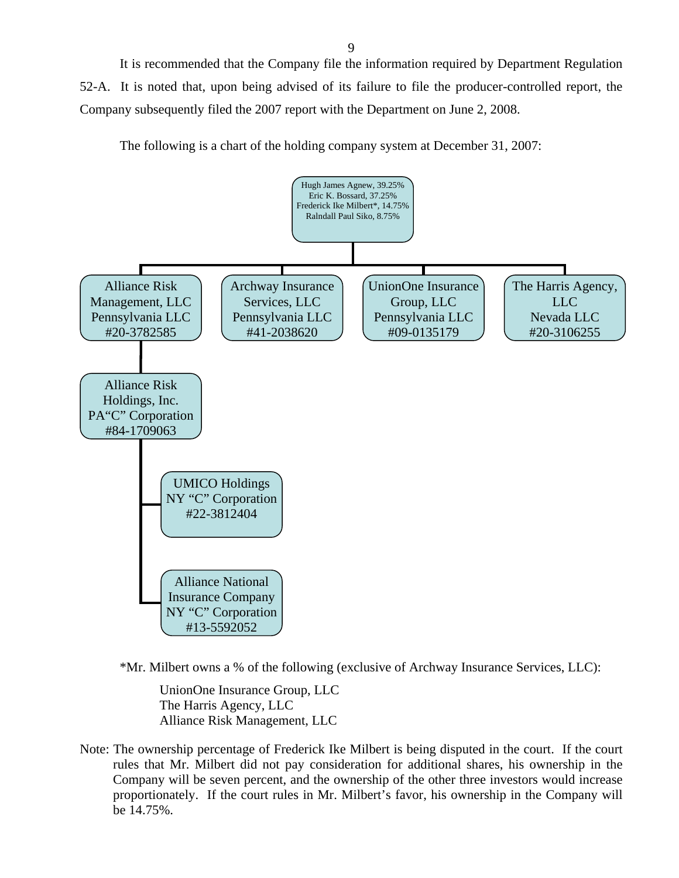It is recommended that the Company file the information required by Department Regulation 52-A. It is noted that, upon being advised of its failure to file the producer-controlled report, the Company subsequently filed the 2007 report with the Department on June 2, 2008.

The following is a chart of the holding company system at December 31, 2007:



\*Mr. Milbert owns a % of the following (exclusive of Archway Insurance Services, LLC):

UnionOne Insurance Group, LLC The Harris Agency, LLC Alliance Risk Management, LLC

Note: The ownership percentage of Frederick Ike Milbert is being disputed in the court. If the court rules that Mr. Milbert did not pay consideration for additional shares, his ownership in the Company will be seven percent, and the ownership of the other three investors would increase proportionately. If the court rules in Mr. Milbert's favor, his ownership in the Company will be 14.75%.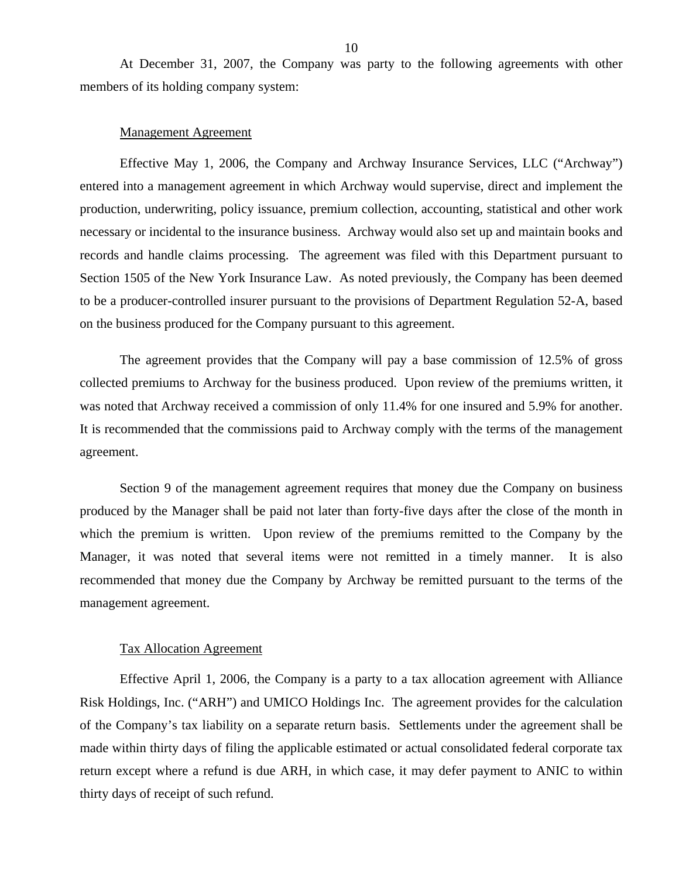At December 31, 2007, the Company was party to the following agreements with other members of its holding company system:

#### Management Agreement

Effective May 1, 2006, the Company and Archway Insurance Services, LLC ("Archway") entered into a management agreement in which Archway would supervise, direct and implement the production, underwriting, policy issuance, premium collection, accounting, statistical and other work necessary or incidental to the insurance business. Archway would also set up and maintain books and records and handle claims processing. The agreement was filed with this Department pursuant to Section 1505 of the New York Insurance Law. As noted previously, the Company has been deemed to be a producer-controlled insurer pursuant to the provisions of Department Regulation 52-A, based on the business produced for the Company pursuant to this agreement.

The agreement provides that the Company will pay a base commission of 12.5% of gross collected premiums to Archway for the business produced. Upon review of the premiums written, it was noted that Archway received a commission of only 11.4% for one insured and 5.9% for another. It is recommended that the commissions paid to Archway comply with the terms of the management agreement.

Section 9 of the management agreement requires that money due the Company on business produced by the Manager shall be paid not later than forty-five days after the close of the month in which the premium is written. Upon review of the premiums remitted to the Company by the Manager, it was noted that several items were not remitted in a timely manner. It is also recommended that money due the Company by Archway be remitted pursuant to the terms of the management agreement.

#### Tax Allocation Agreement

Effective April 1, 2006, the Company is a party to a tax allocation agreement with Alliance Risk Holdings, Inc. ("ARH") and UMICO Holdings Inc. The agreement provides for the calculation of the Company's tax liability on a separate return basis. Settlements under the agreement shall be made within thirty days of filing the applicable estimated or actual consolidated federal corporate tax return except where a refund is due ARH, in which case, it may defer payment to ANIC to within thirty days of receipt of such refund.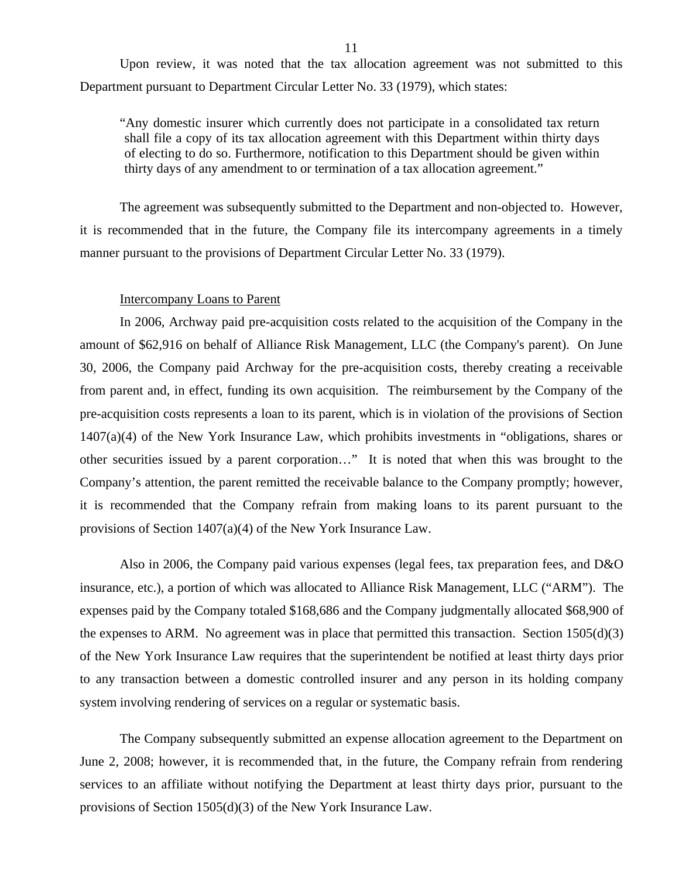Upon review, it was noted that the tax allocation agreement was not submitted to this Department pursuant to Department Circular Letter No. 33 (1979), which states:

"Any domestic insurer which currently does not participate in a consolidated tax return shall file a copy of its tax allocation agreement with this Department within thirty days of electing to do so. Furthermore, notification to this Department should be given within thirty days of any amendment to or termination of a tax allocation agreement."

The agreement was subsequently submitted to the Department and non-objected to. However, it is recommended that in the future, the Company file its intercompany agreements in a timely manner pursuant to the provisions of Department Circular Letter No. 33 (1979).

#### Intercompany Loans to Parent

In 2006, Archway paid pre-acquisition costs related to the acquisition of the Company in the amount of \$62,916 on behalf of Alliance Risk Management, LLC (the Company's parent). On June 30, 2006, the Company paid Archway for the pre-acquisition costs, thereby creating a receivable from parent and, in effect, funding its own acquisition. The reimbursement by the Company of the pre-acquisition costs represents a loan to its parent, which is in violation of the provisions of Section 1407(a)(4) of the New York Insurance Law, which prohibits investments in "obligations, shares or other securities issued by a parent corporation…" It is noted that when this was brought to the Company's attention, the parent remitted the receivable balance to the Company promptly; however, it is recommended that the Company refrain from making loans to its parent pursuant to the provisions of Section 1407(a)(4) of the New York Insurance Law.

Also in 2006, the Company paid various expenses (legal fees, tax preparation fees, and D&O insurance, etc.), a portion of which was allocated to Alliance Risk Management, LLC ("ARM"). The expenses paid by the Company totaled \$168,686 and the Company judgmentally allocated \$68,900 of the expenses to ARM. No agreement was in place that permitted this transaction. Section 1505(d)(3) of the New York Insurance Law requires that the superintendent be notified at least thirty days prior to any transaction between a domestic controlled insurer and any person in its holding company system involving rendering of services on a regular or systematic basis.

The Company subsequently submitted an expense allocation agreement to the Department on June 2, 2008; however, it is recommended that, in the future, the Company refrain from rendering services to an affiliate without notifying the Department at least thirty days prior, pursuant to the provisions of Section 1505(d)(3) of the New York Insurance Law.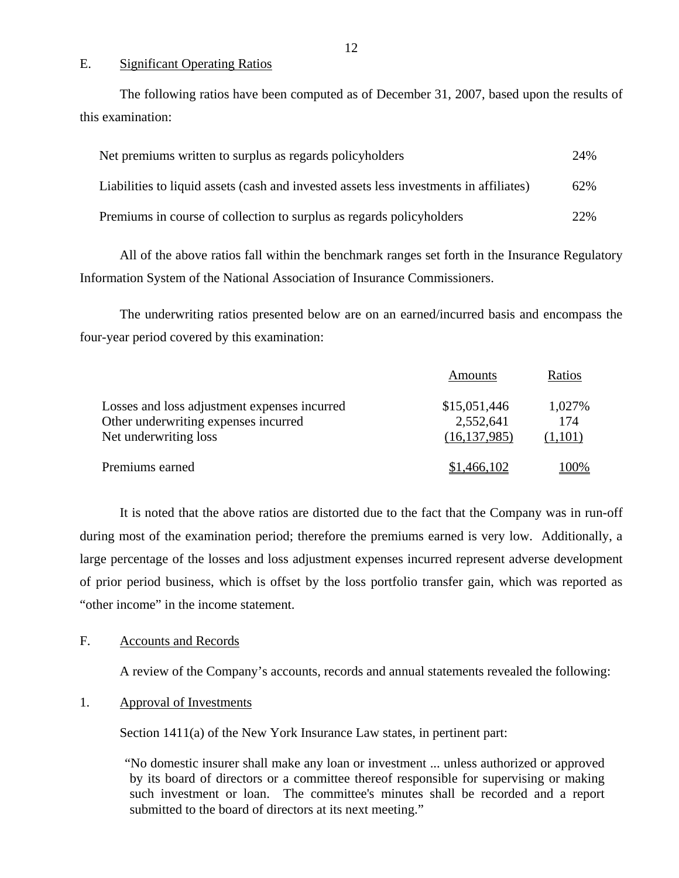#### E. Significant Operating Ratios

The following ratios have been computed as of December 31, 2007, based upon the results of this examination:

| Net premiums written to surplus as regards policyholders                               | 24% |
|----------------------------------------------------------------------------------------|-----|
| Liabilities to liquid assets (cash and invested assets less investments in affiliates) | 62% |
| Premiums in course of collection to surplus as regards policyholders                   | 22% |

All of the above ratios fall within the benchmark ranges set forth in the Insurance Regulatory Information System of the National Association of Insurance Commissioners.

The underwriting ratios presented below are on an earned/incurred basis and encompass the four-year period covered by this examination:

|                                              | Amounts        | Ratios  |
|----------------------------------------------|----------------|---------|
| Losses and loss adjustment expenses incurred | \$15,051,446   | 1,027%  |
| Other underwriting expenses incurred         | 2,552,641      | 174     |
| Net underwriting loss                        | (16, 137, 985) | (1,101) |
| Premiums earned                              | \$1,466,102    | 100%    |

It is noted that the above ratios are distorted due to the fact that the Company was in run-off during most of the examination period; therefore the premiums earned is very low. Additionally, a large percentage of the losses and loss adjustment expenses incurred represent adverse development of prior period business, which is offset by the loss portfolio transfer gain, which was reported as "other income" in the income statement.

#### F. Accounts and Records

A review of the Company's accounts, records and annual statements revealed the following:

#### 1. Approval of Investments

Section 1411(a) of the New York Insurance Law states, in pertinent part:

"No domestic insurer shall make any loan or investment ... unless authorized or approved by its board of directors or a committee thereof responsible for supervising or making such investment or loan. The committee's minutes shall be recorded and a report submitted to the board of directors at its next meeting."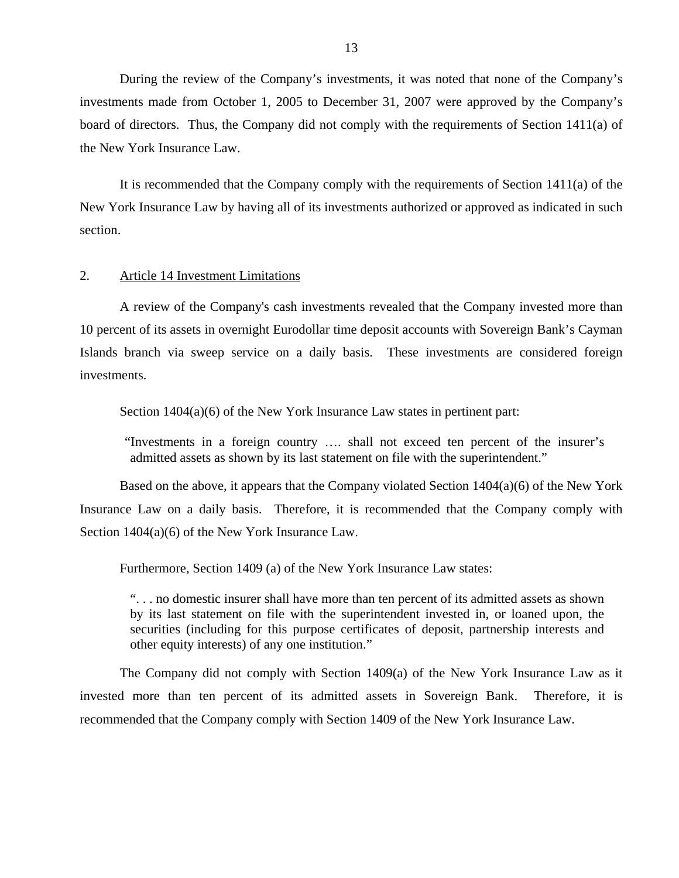During the review of the Company's investments, it was noted that none of the Company's investments made from October 1, 2005 to December 31, 2007 were approved by the Company's board of directors. Thus, the Company did not comply with the requirements of Section 1411(a) of the New York Insurance Law.

It is recommended that the Company comply with the requirements of Section 1411(a) of the New York Insurance Law by having all of its investments authorized or approved as indicated in such section.

#### 2. Article 14 Investment Limitations

A review of the Company's cash investments revealed that the Company invested more than 10 percent of its assets in overnight Eurodollar time deposit accounts with Sovereign Bank's Cayman Islands branch via sweep service on a daily basis. These investments are considered foreign investments.

Section  $1404(a)(6)$  of the New York Insurance Law states in pertinent part:

"Investments in a foreign country …. shall not exceed ten percent of the insurer's admitted assets as shown by its last statement on file with the superintendent."

Based on the above, it appears that the Company violated Section 1404(a)(6) of the New York Insurance Law on a daily basis. Therefore, it is recommended that the Company comply with Section 1404(a)(6) of the New York Insurance Law.

Furthermore, Section 1409 (a) of the New York Insurance Law states:

". . . no domestic insurer shall have more than ten percent of its admitted assets as shown by its last statement on file with the superintendent invested in, or loaned upon, the securities (including for this purpose certificates of deposit, partnership interests and other equity interests) of any one institution."

The Company did not comply with Section 1409(a) of the New York Insurance Law as it invested more than ten percent of its admitted assets in Sovereign Bank. Therefore, it is recommended that the Company comply with Section 1409 of the New York Insurance Law.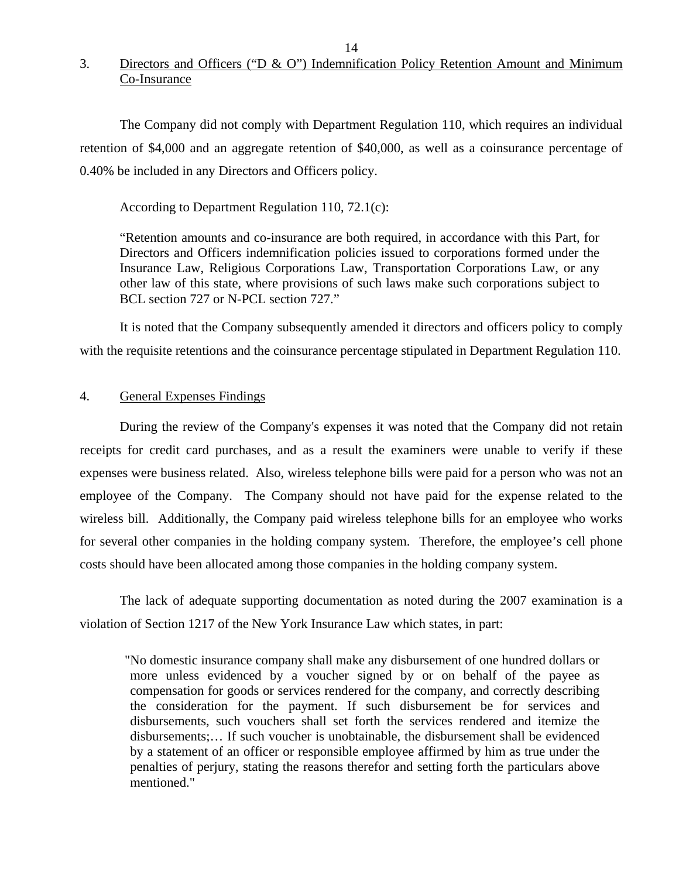## 3. Directors and Officers ("D & O") Indemnification Policy Retention Amount and Minimum Co-Insurance

The Company did not comply with Department Regulation 110, which requires an individual retention of \$4,000 and an aggregate retention of \$40,000, as well as a coinsurance percentage of 0.40% be included in any Directors and Officers policy.

According to Department Regulation 110, 72.1(c):

"Retention amounts and co-insurance are both required, in accordance with this Part, for Directors and Officers indemnification policies issued to corporations formed under the Insurance Law, Religious Corporations Law, Transportation Corporations Law, or any other law of this state, where provisions of such laws make such corporations subject to BCL section 727 or N-PCL section 727."

It is noted that the Company subsequently amended it directors and officers policy to comply with the requisite retentions and the coinsurance percentage stipulated in Department Regulation 110.

#### 4. General Expenses Findings

During the review of the Company's expenses it was noted that the Company did not retain receipts for credit card purchases, and as a result the examiners were unable to verify if these expenses were business related. Also, wireless telephone bills were paid for a person who was not an employee of the Company. The Company should not have paid for the expense related to the wireless bill. Additionally, the Company paid wireless telephone bills for an employee who works for several other companies in the holding company system. Therefore, the employee's cell phone costs should have been allocated among those companies in the holding company system.

The lack of adequate supporting documentation as noted during the 2007 examination is a violation of Section 1217 of the New York Insurance Law which states, in part:

"No domestic insurance company shall make any disbursement of one hundred dollars or more unless evidenced by a voucher signed by or on behalf of the payee as compensation for goods or services rendered for the company, and correctly describing the consideration for the payment. If such disbursement be for services and disbursements, such vouchers shall set forth the services rendered and itemize the disbursements;… If such voucher is unobtainable, the disbursement shall be evidenced by a statement of an officer or responsible employee affirmed by him as true under the penalties of perjury, stating the reasons therefor and setting forth the particulars above mentioned."

14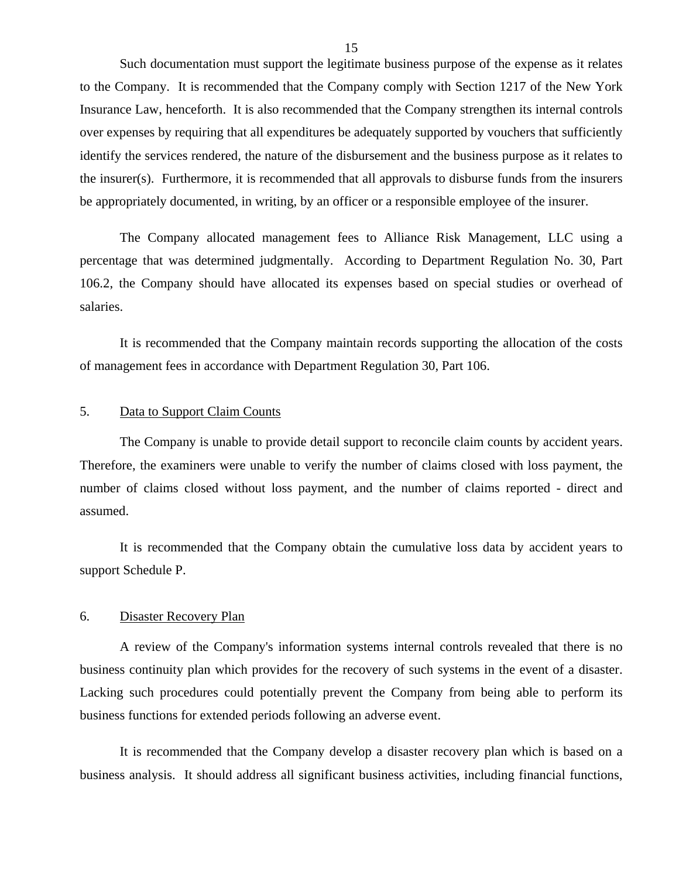Such documentation must support the legitimate business purpose of the expense as it relates to the Company. It is recommended that the Company comply with Section 1217 of the New York Insurance Law, henceforth. It is also recommended that the Company strengthen its internal controls over expenses by requiring that all expenditures be adequately supported by vouchers that sufficiently identify the services rendered, the nature of the disbursement and the business purpose as it relates to the insurer(s). Furthermore, it is recommended that all approvals to disburse funds from the insurers be appropriately documented, in writing, by an officer or a responsible employee of the insurer.

The Company allocated management fees to Alliance Risk Management, LLC using a percentage that was determined judgmentally. According to Department Regulation No. 30, Part 106.2, the Company should have allocated its expenses based on special studies or overhead of salaries.

It is recommended that the Company maintain records supporting the allocation of the costs of management fees in accordance with Department Regulation 30, Part 106.

#### 5. Data to Support Claim Counts

The Company is unable to provide detail support to reconcile claim counts by accident years. Therefore, the examiners were unable to verify the number of claims closed with loss payment, the number of claims closed without loss payment, and the number of claims reported - direct and assumed.

It is recommended that the Company obtain the cumulative loss data by accident years to support Schedule P.

#### 6. Disaster Recovery Plan

A review of the Company's information systems internal controls revealed that there is no business continuity plan which provides for the recovery of such systems in the event of a disaster. Lacking such procedures could potentially prevent the Company from being able to perform its business functions for extended periods following an adverse event.

It is recommended that the Company develop a disaster recovery plan which is based on a business analysis. It should address all significant business activities, including financial functions,

15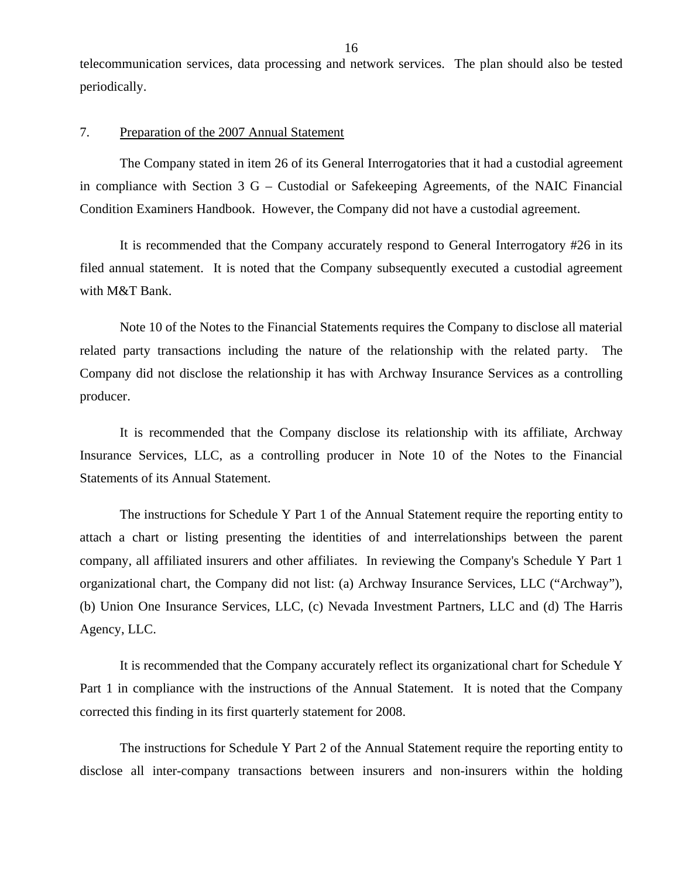telecommunication services, data processing and network services. The plan should also be tested periodically.

#### 7. Preparation of the 2007 Annual Statement

The Company stated in item 26 of its General Interrogatories that it had a custodial agreement in compliance with Section 3 G – Custodial or Safekeeping Agreements, of the NAIC Financial Condition Examiners Handbook. However, the Company did not have a custodial agreement.

It is recommended that the Company accurately respond to General Interrogatory #26 in its filed annual statement. It is noted that the Company subsequently executed a custodial agreement with M&T Bank.

Note 10 of the Notes to the Financial Statements requires the Company to disclose all material related party transactions including the nature of the relationship with the related party. The Company did not disclose the relationship it has with Archway Insurance Services as a controlling producer.

It is recommended that the Company disclose its relationship with its affiliate, Archway Insurance Services, LLC, as a controlling producer in Note 10 of the Notes to the Financial Statements of its Annual Statement.

The instructions for Schedule Y Part 1 of the Annual Statement require the reporting entity to attach a chart or listing presenting the identities of and interrelationships between the parent company, all affiliated insurers and other affiliates. In reviewing the Company's Schedule Y Part 1 organizational chart, the Company did not list: (a) Archway Insurance Services, LLC ("Archway"), (b) Union One Insurance Services, LLC, (c) Nevada Investment Partners, LLC and (d) The Harris Agency, LLC.

It is recommended that the Company accurately reflect its organizational chart for Schedule Y Part 1 in compliance with the instructions of the Annual Statement. It is noted that the Company corrected this finding in its first quarterly statement for 2008.

The instructions for Schedule Y Part 2 of the Annual Statement require the reporting entity to disclose all inter-company transactions between insurers and non-insurers within the holding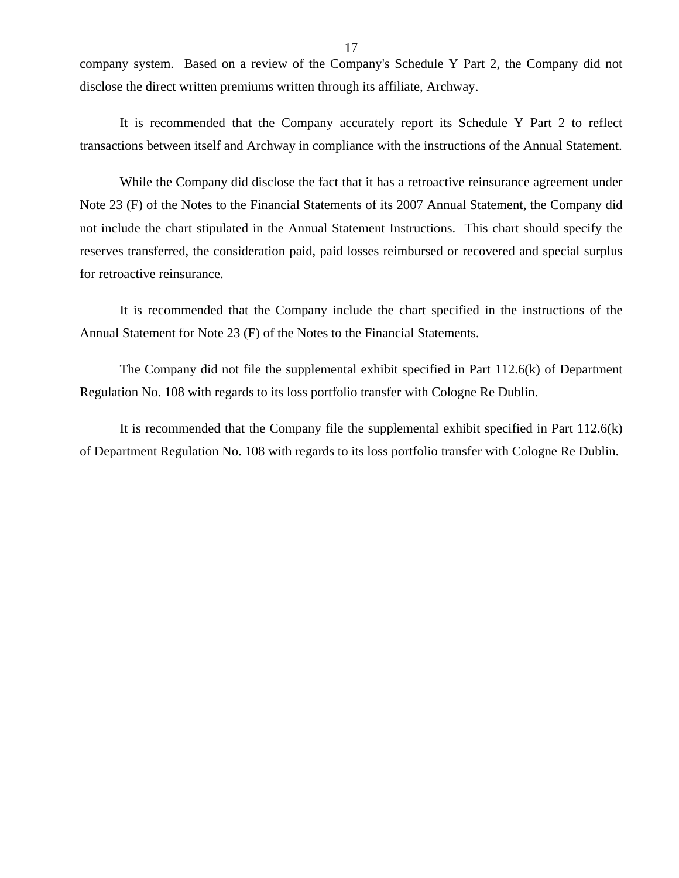company system. Based on a review of the Company's Schedule Y Part 2, the Company did not disclose the direct written premiums written through its affiliate, Archway.

It is recommended that the Company accurately report its Schedule Y Part 2 to reflect transactions between itself and Archway in compliance with the instructions of the Annual Statement.

While the Company did disclose the fact that it has a retroactive reinsurance agreement under Note 23 (F) of the Notes to the Financial Statements of its 2007 Annual Statement, the Company did not include the chart stipulated in the Annual Statement Instructions. This chart should specify the reserves transferred, the consideration paid, paid losses reimbursed or recovered and special surplus for retroactive reinsurance.

It is recommended that the Company include the chart specified in the instructions of the Annual Statement for Note 23 (F) of the Notes to the Financial Statements.

The Company did not file the supplemental exhibit specified in Part 112.6(k) of Department Regulation No. 108 with regards to its loss portfolio transfer with Cologne Re Dublin.

It is recommended that the Company file the supplemental exhibit specified in Part 112.6(k) of Department Regulation No. 108 with regards to its loss portfolio transfer with Cologne Re Dublin.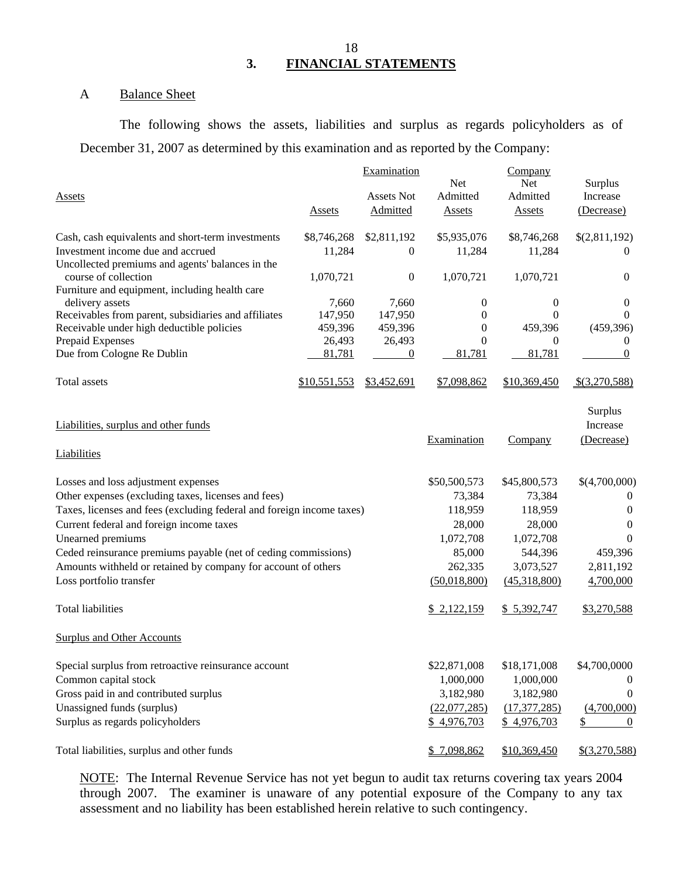### 18 **3. FINANCIAL STATEMENTS**

#### A Balance Sheet

The following shows the assets, liabilities and surplus as regards policyholders as of December 31, 2007 as determined by this examination and as reported by the Company:

| <b>Assets</b>                                                                          | <b>Assets</b>         | Examination<br><b>Assets Not</b><br>Admitted | <b>Net</b><br>Admitted<br><b>Assets</b> | Company<br><b>Net</b><br>Admitted<br><b>Assets</b> | Surplus<br>Increase<br>(Decrease) |
|----------------------------------------------------------------------------------------|-----------------------|----------------------------------------------|-----------------------------------------|----------------------------------------------------|-----------------------------------|
|                                                                                        |                       |                                              |                                         |                                                    |                                   |
| Cash, cash equivalents and short-term investments<br>Investment income due and accrued | \$8,746,268<br>11,284 | \$2,811,192<br>$\theta$                      | \$5,935,076<br>11,284                   | \$8,746,268<br>11,284                              | \$(2,811,192)<br>$\Omega$         |
| Uncollected premiums and agents' balances in the                                       |                       |                                              |                                         |                                                    |                                   |
| course of collection                                                                   | 1,070,721             | $\boldsymbol{0}$                             | 1,070,721                               | 1,070,721                                          | 0                                 |
| Furniture and equipment, including health care<br>delivery assets                      | 7,660                 | 7,660                                        | 0                                       | 0                                                  | 0                                 |
| Receivables from parent, subsidiaries and affiliates                                   | 147,950               | 147,950                                      | $\Omega$                                | 0                                                  | $\Omega$                          |
| Receivable under high deductible policies                                              | 459,396               | 459,396                                      | $\theta$                                | 459,396                                            | (459, 396)                        |
| Prepaid Expenses                                                                       | 26,493                | 26,493                                       | $\Omega$                                | 0                                                  | $\bf{0}$                          |
| Due from Cologne Re Dublin                                                             | 81,781                | $\theta$                                     | 81,781                                  | 81,781                                             | 0                                 |
| Total assets                                                                           | \$10,551,553          | \$3,452,691                                  | \$7,098,862                             | \$10,369,450                                       | $$$ (3,270,588)                   |
| Liabilities, surplus and other funds                                                   |                       |                                              | Examination                             | Company                                            | Surplus<br>Increase<br>(Decrease) |
| <b>Liabilities</b>                                                                     |                       |                                              |                                         |                                                    |                                   |
| Losses and loss adjustment expenses                                                    |                       |                                              | \$50,500,573                            | \$45,800,573                                       | \$(4,700,000)                     |
| Other expenses (excluding taxes, licenses and fees)                                    |                       |                                              | 73,384                                  | 73,384                                             | $\theta$                          |
| Taxes, licenses and fees (excluding federal and foreign income taxes)                  |                       |                                              | 118,959                                 | 118,959                                            | $\theta$                          |
| Current federal and foreign income taxes                                               |                       |                                              | 28,000                                  | 28,000                                             | 0                                 |
| Unearned premiums                                                                      |                       |                                              | 1,072,708                               | 1,072,708                                          | $\Omega$                          |
| Ceded reinsurance premiums payable (net of ceding commissions)                         |                       |                                              | 85,000                                  | 544,396                                            | 459,396                           |
| Amounts withheld or retained by company for account of others                          |                       |                                              | 262,335                                 | 3,073,527                                          | 2,811,192                         |
| Loss portfolio transfer                                                                |                       |                                              | (50,018,800)                            | (45,318,800)                                       | 4,700,000                         |
| <b>Total liabilities</b>                                                               |                       |                                              | \$2,122,159                             | \$5,392,747                                        | \$3,270,588                       |
| <b>Surplus and Other Accounts</b>                                                      |                       |                                              |                                         |                                                    |                                   |
| Special surplus from retroactive reinsurance account                                   |                       |                                              | \$22,871,008                            | \$18,171,008                                       | \$4,700,0000                      |
| Common capital stock                                                                   |                       |                                              | 1,000,000                               | 1,000,000                                          | $\theta$                          |
| Gross paid in and contributed surplus                                                  |                       |                                              | 3,182,980                               | 3,182,980                                          | $\theta$                          |
| Unassigned funds (surplus)                                                             |                       |                                              | (22,077,285)                            | (17, 377, 285)                                     | (4,700,000)                       |
| Surplus as regards policyholders                                                       |                       |                                              | \$4,976,703                             | \$4,976,703                                        | \$<br>$\theta$                    |
| Total liabilities, surplus and other funds                                             |                       |                                              | \$7,098,862                             | \$10,369,450                                       | $$$ (3,270,588)                   |

NOTE: The Internal Revenue Service has not yet begun to audit tax returns covering tax years 2004 through 2007. The examiner is unaware of any potential exposure of the Company to any tax assessment and no liability has been established herein relative to such contingency.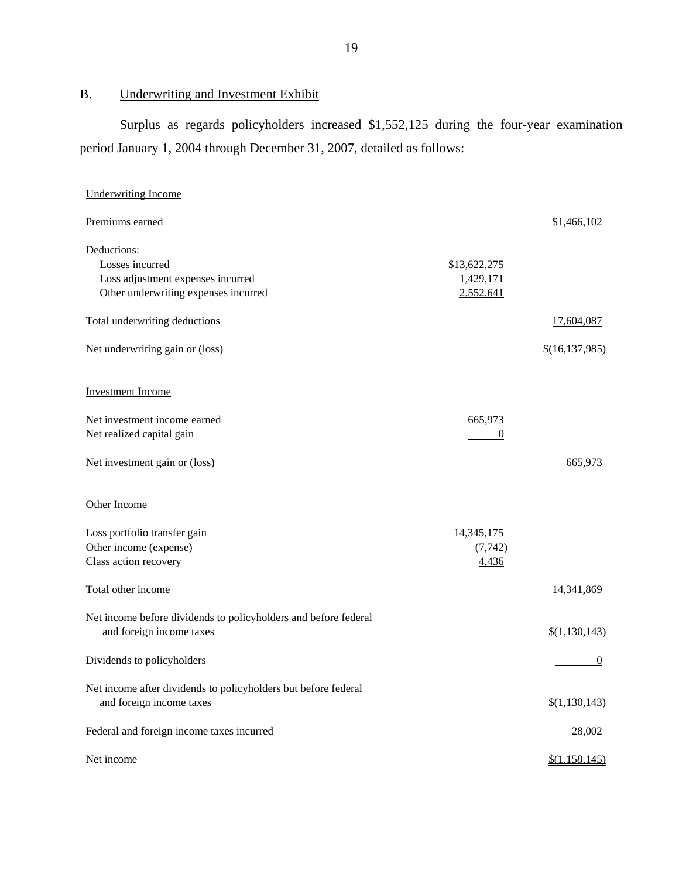B. Underwriting and Investment Exhibit

Surplus as regards policyholders increased \$1,552,125 during the four-year examination period January 1, 2004 through December 31, 2007, detailed as follows:

| <b>Underwriting Income</b>                                                                                  |                                        |                  |
|-------------------------------------------------------------------------------------------------------------|----------------------------------------|------------------|
| Premiums earned                                                                                             |                                        | \$1,466,102      |
| Deductions:<br>Losses incurred<br>Loss adjustment expenses incurred<br>Other underwriting expenses incurred | \$13,622,275<br>1,429,171<br>2,552,641 |                  |
| Total underwriting deductions                                                                               |                                        | 17,604,087       |
| Net underwriting gain or (loss)                                                                             |                                        | \$(16, 137, 985) |
| <b>Investment Income</b>                                                                                    |                                        |                  |
| Net investment income earned<br>Net realized capital gain                                                   | 665,973<br>$\boldsymbol{0}$            |                  |
| Net investment gain or (loss)                                                                               |                                        | 665,973          |
| Other Income                                                                                                |                                        |                  |
| Loss portfolio transfer gain<br>Other income (expense)<br>Class action recovery                             | 14,345,175<br>(7, 742)<br>4,436        |                  |
| Total other income                                                                                          |                                        | 14,341,869       |
| Net income before dividends to policyholders and before federal<br>and foreign income taxes                 |                                        | \$(1,130,143)    |
| Dividends to policyholders                                                                                  |                                        | $\theta$         |
| Net income after dividends to policyholders but before federal<br>and foreign income taxes                  |                                        | \$(1,130,143)    |
| Federal and foreign income taxes incurred                                                                   |                                        | 28,002           |
| Net income                                                                                                  |                                        | \$(1,158,145)    |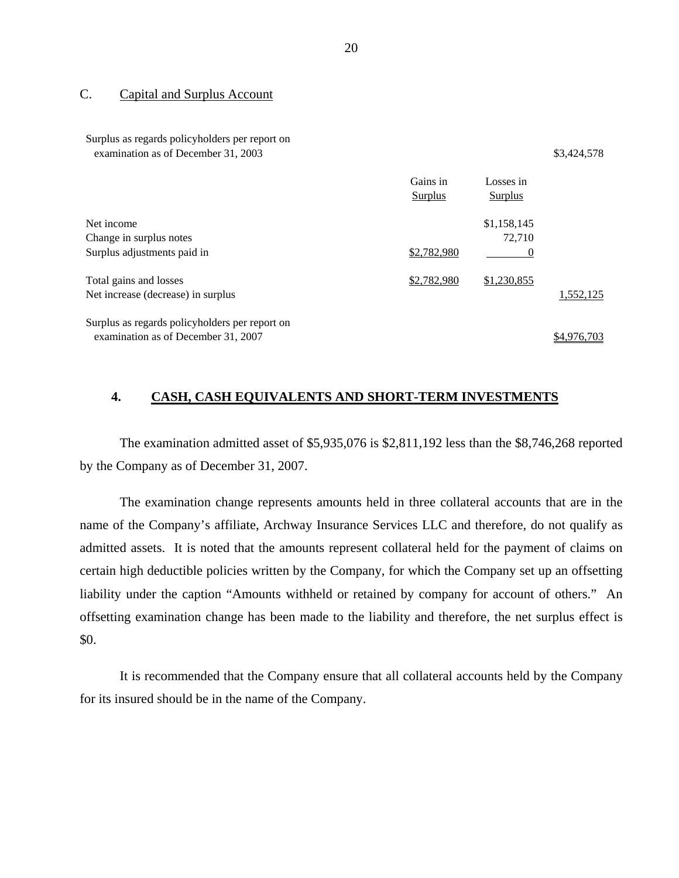#### C. Capital and Surplus Account

Surplus as regards policyholders per report on examination as of December 31, 2003 \$3,424,578

|                                                | Gains in    | Losses in   |             |
|------------------------------------------------|-------------|-------------|-------------|
|                                                | Surplus     | Surplus     |             |
| Net income                                     |             | \$1,158,145 |             |
| Change in surplus notes                        |             | 72.710      |             |
| Surplus adjustments paid in                    | \$2,782,980 |             |             |
| Total gains and losses                         | \$2,782,980 | \$1,230,855 |             |
| Net increase (decrease) in surplus             |             |             | 1,552,125   |
| Surplus as regards policyholders per report on |             |             |             |
| examination as of December 31, 2007            |             |             | \$4,976,703 |

#### **4. CASH, CASH EQUIVALENTS AND SHORT-TERM INVESTMENTS**

The examination admitted asset of \$5,935,076 is \$2,811,192 less than the \$8,746,268 reported by the Company as of December 31, 2007.

The examination change represents amounts held in three collateral accounts that are in the name of the Company's affiliate, Archway Insurance Services LLC and therefore, do not qualify as admitted assets. It is noted that the amounts represent collateral held for the payment of claims on certain high deductible policies written by the Company, for which the Company set up an offsetting liability under the caption "Amounts withheld or retained by company for account of others." An offsetting examination change has been made to the liability and therefore, the net surplus effect is \$0.

It is recommended that the Company ensure that all collateral accounts held by the Company for its insured should be in the name of the Company.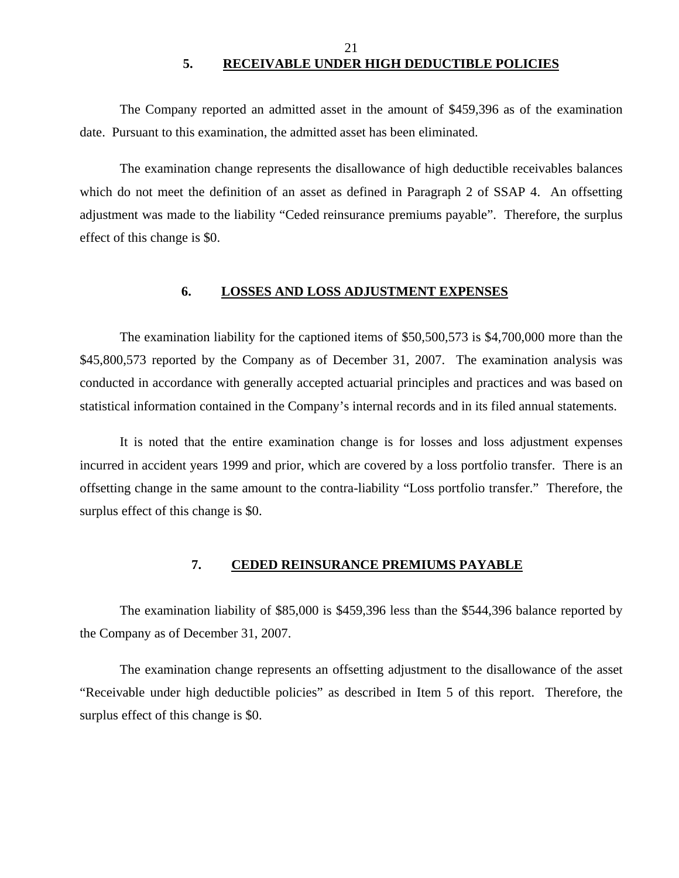### 21 **5. RECEIVABLE UNDER HIGH DEDUCTIBLE POLICIES**

<span id="page-22-0"></span>The Company reported an admitted asset in the amount of \$459,396 as of the examination date. Pursuant to this examination, the admitted asset has been eliminated.

The examination change represents the disallowance of high deductible receivables balances which do not meet the definition of an asset as defined in Paragraph 2 of SSAP 4. An offsetting adjustment was made to the liability "Ceded reinsurance premiums payable". Therefore, the surplus effect of this change is \$0.

#### **6. LOSSES AND LOSS ADJUSTMENT EXPENSES**

The examination liability for the captioned items of \$50,500,573 is \$4,700,000 more than the \$45,800,573 reported by the Company as of December 31, 2007. The examination analysis was conducted in accordance with generally accepted actuarial principles and practices and was based on statistical information contained in the Company's internal records and in its filed annual statements.

It is noted that the entire examination change is for losses and loss adjustment expenses incurred in accident years 1999 and prior, which are covered by a loss portfolio transfer. There is an offsetting change in the same amount to the contra-liability "Loss portfolio transfer." Therefore, the surplus effect of this change is \$0.

#### **7. CEDED REINSURANCE PREMIUMS PAYABLE**

The examination liability of \$85,000 is \$459,396 less than the \$544,396 balance reported by the Company as of December 31, 2007.

The examination change represents an offsetting adjustment to the disallowance of the asset "Receivable under high deductible policies" as described in Item 5 of this report. Therefore, the surplus effect of this change is \$0.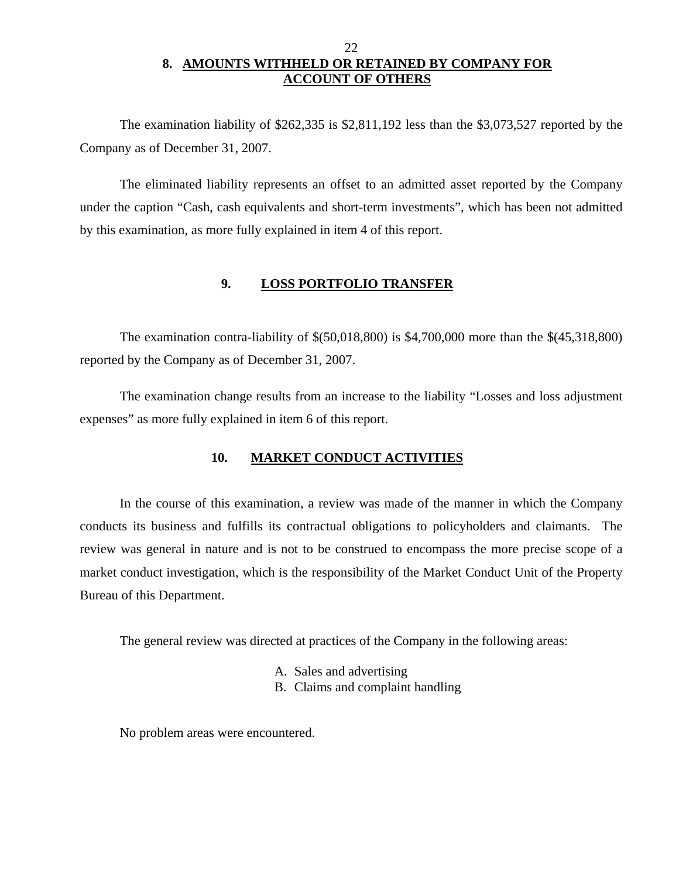### 22 **8. AMOUNTS WITHHELD OR RETAINED BY COMPANY FOR ACCOUNT OF OTHERS**

<span id="page-23-0"></span>The examination liability of \$262,335 is \$2,811,192 less than the \$3,073,527 reported by the Company as of December 31, 2007.

The eliminated liability represents an offset to an admitted asset reported by the Company under the caption "Cash, cash equivalents and short-term investments", which has been not admitted by this examination, as more fully explained in item 4 of this report.

#### **9. LOSS PORTFOLIO TRANSFER**

The examination contra-liability of \$(50,018,800) is \$4,700,000 more than the \$(45,318,800) reported by the Company as of December 31, 2007.

The examination change results from an increase to the liability "Losses and loss adjustment expenses" as more fully explained in item 6 of this report.

#### **10. MARKET CONDUCT ACTIVITIES**

In the course of this examination, a review was made of the manner in which the Company conducts its business and fulfills its contractual obligations to policyholders and claimants. The review was general in nature and is not to be construed to encompass the more precise scope of a market conduct investigation, which is the responsibility of the Market Conduct Unit of the Property Bureau of this Department.

The general review was directed at practices of the Company in the following areas:

- A. Sales and advertising
- B. Claims and complaint handling

No problem areas were encountered.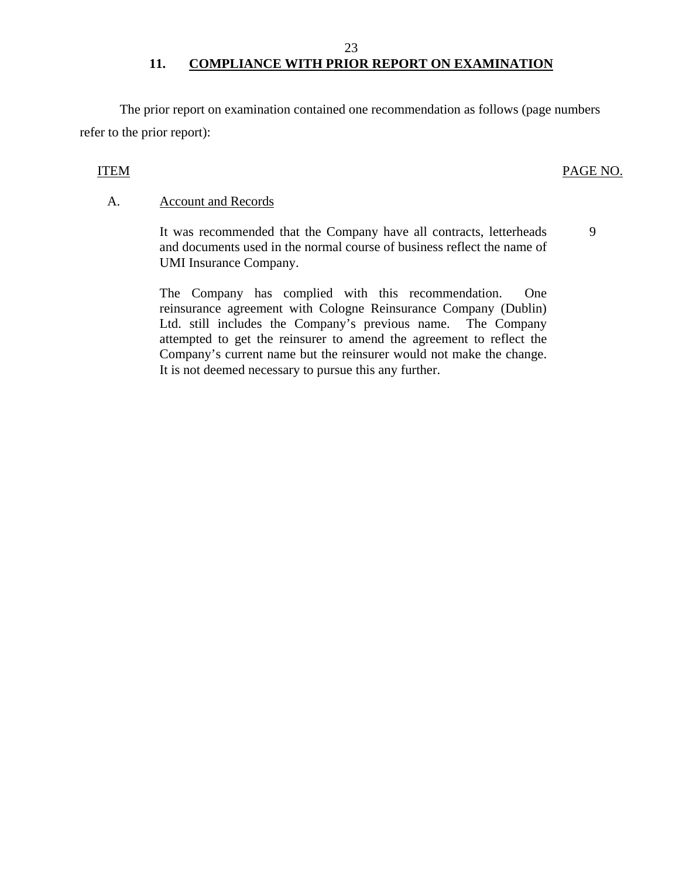#### 23

# 11. COMPLIANCE WITH PRIOR REPORT ON EXAMINATION

The prior report on examination contained one recommendation as follows (page numbers refer to the prior report):

#### ITEM PAGE NO.

#### A. Account and Records

It was recommended that the Company have all contracts, letterheads and documents used in the normal course of business reflect the name of UMI Insurance Company. 9

The Company has complied with this recommendation. One reinsurance agreement with Cologne Reinsurance Company (Dublin) Ltd. still includes the Company's previous name. The Company attempted to get the reinsurer to amend the agreement to reflect the Company's current name but the reinsurer would not make the change. It is not deemed necessary to pursue this any further.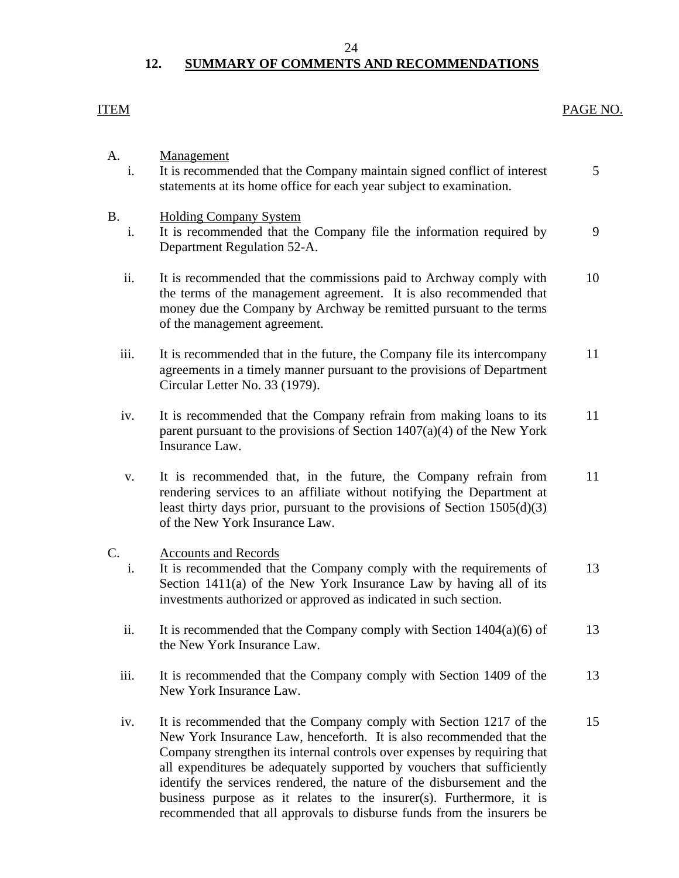#### 24

# **12. SUMMARY OF COMMENTS AND RECOMMENDATIONS**

# <span id="page-25-0"></span>ITEM PAGE NO. A. Management i. It is recommended that the Company maintain signed conflict of interest 5 statements at its home office for each year subject to examination. B. Holding Company System i. It is recommended that the Company file the information required by 9 Department Regulation 52-A. ii. It is recommended that the commissions paid to Archway comply with 10 the terms of the management agreement. It is also recommended that money due the Company by Archway be remitted pursuant to the terms of the management agreement. iii. It is recommended that in the future, the Company file its intercompany 11 agreements in a timely manner pursuant to the provisions of Department Circular Letter No. 33 (1979). iv. It is recommended that the Company refrain from making loans to its 11 parent pursuant to the provisions of Section  $1407(a)(4)$  of the New York Insurance Law. v. It is recommended that, in the future, the Company refrain from 11 rendering services to an affiliate without notifying the Department at least thirty days prior, pursuant to the provisions of Section 1505(d)(3) of the New York Insurance Law. C. Accounts and Records i. It is recommended that the Company comply with the requirements of 13 Section 1411(a) of the New York Insurance Law by having all of its investments authorized or approved as indicated in such section. ii. It is recommended that the Company comply with Section  $1404(a)(6)$  of 13 the New York Insurance Law. iii. It is recommended that the Company comply with Section 1409 of the 13 New York Insurance Law. iv. It is recommended that the Company comply with Section 1217 of the 15 New York Insurance Law, henceforth. It is also recommended that the Company strengthen its internal controls over expenses by requiring that all expenditures be adequately supported by vouchers that sufficiently identify the services rendered, the nature of the disbursement and the

business purpose as it relates to the insurer(s). Furthermore, it is recommended that all approvals to disburse funds from the insurers be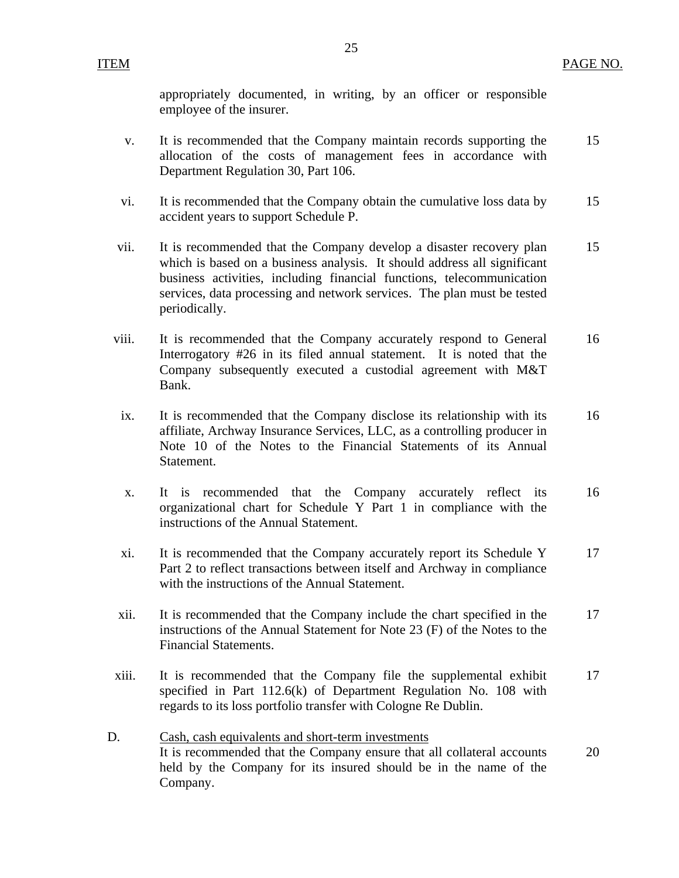appropriately documented, in writing, by an officer or responsible employee of the insurer.

- v. It is recommended that the Company maintain records supporting the 15 allocation of the costs of management fees in accordance with Department Regulation 30, Part 106.
- vi. It is recommended that the Company obtain the cumulative loss data by 15 accident years to support Schedule P.
- vii. It is recommended that the Company develop a disaster recovery plan 15 which is based on a business analysis. It should address all significant business activities, including financial functions, telecommunication services, data processing and network services. The plan must be tested periodically.
- viii. It is recommended that the Company accurately respond to General 16 Interrogatory #26 in its filed annual statement. It is noted that the Company subsequently executed a custodial agreement with M&T Bank.
- ix. It is recommended that the Company disclose its relationship with its 16 affiliate, Archway Insurance Services, LLC, as a controlling producer in Note 10 of the Notes to the Financial Statements of its Annual Statement.
- x. It is recommended that the Company accurately reflect its 16 organizational chart for Schedule Y Part 1 in compliance with the instructions of the Annual Statement.
- xi. It is recommended that the Company accurately report its Schedule Y 17 Part 2 to reflect transactions between itself and Archway in compliance with the instructions of the Annual Statement.
- xii. It is recommended that the Company include the chart specified in the 17 instructions of the Annual Statement for Note 23 (F) of the Notes to the Financial Statements.
- xiii. It is recommended that the Company file the supplemental exhibit 17 specified in Part 112.6(k) of Department Regulation No. 108 with regards to its loss portfolio transfer with Cologne Re Dublin.
- D. Cash, cash equivalents and short-term investments It is recommended that the Company ensure that all collateral accounts 20 held by the Company for its insured should be in the name of the Company.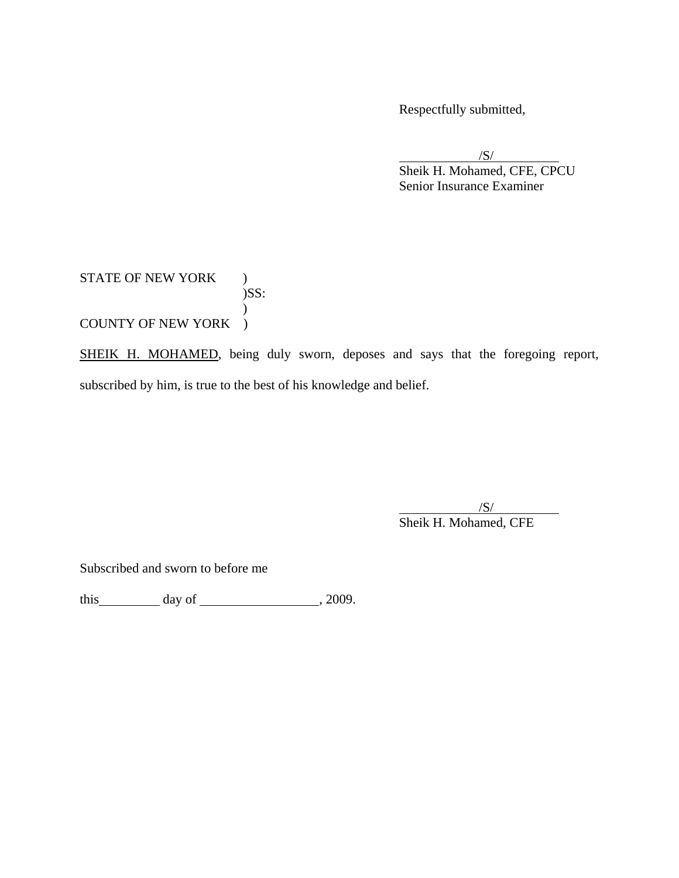Respectfully submitted,

 $\sqrt{S}$  Sheik H. Mohamed, CFE, CPCU Senior Insurance Examiner

#### STATE OF NEW YORK )  $)$ SS:  $\overline{)}$ COUNTY OF NEW YORK )

SHEIK H. MOHAMED, being duly sworn, deposes and says that the foregoing report, subscribed by him, is true to the best of his knowledge and belief.

 $\overline{\phantom{a}}$ /S/ Sheik H. Mohamed, CFE

Subscribed and sworn to before me

this  $\_\_\_\_\_$  day of  $\_\_\_\_\_\_$ , 2009.